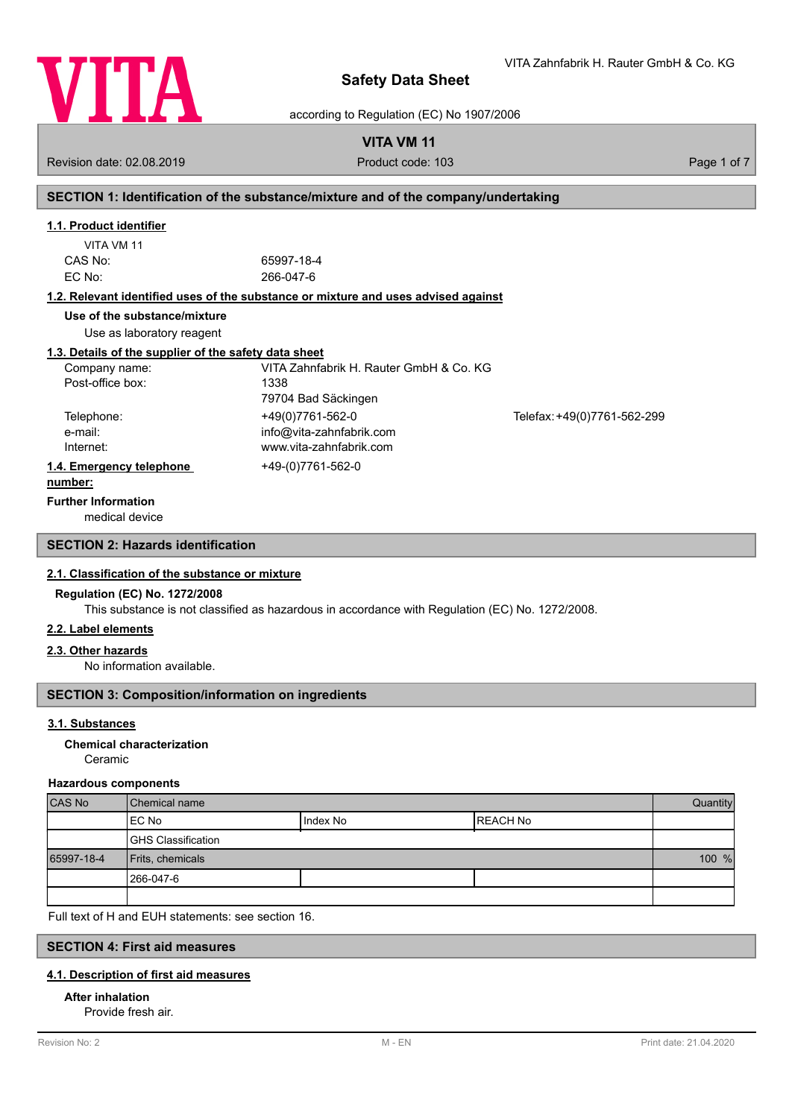

according to Regulation (EC) No 1907/2006

# **VITA VM 11**

Revision date: 02.08.2019 **Product code: 103** Product code: 103 **Page 1 of 7** Page 1 of 7

# **SECTION 1: Identification of the substance/mixture and of the company/undertaking**

# **1.1. Product identifier**

| 65997-18-4 |
|------------|
| 266-047-6  |
|            |

# **1.2. Relevant identified uses of the substance or mixture and uses advised against**

**Use of the substance/mixture**

Use as laboratory reagent

# **1.3. Details of the supplier of the safety data sheet**

| Company name:            | VITA Zahnfabrik H. Rauter GmbH & Co. KG |                             |
|--------------------------|-----------------------------------------|-----------------------------|
| Post-office box:         | 1338                                    |                             |
|                          | 79704 Bad Säckingen                     |                             |
| Telephone:               | +49(0)7761-562-0                        | Telefax: +49(0)7761-562-299 |
| e-mail:                  | info@vita-zahnfabrik.com                |                             |
| Internet:                | www.vita-zahnfabrik.com                 |                             |
| 1.4. Emergency telephone | +49-(0)7761-562-0                       |                             |
|                          |                                         |                             |

### **number:**

**Further Information**

medical device

# **SECTION 2: Hazards identification**

# **2.1. Classification of the substance or mixture**

## **Regulation (EC) No. 1272/2008**

This substance is not classified as hazardous in accordance with Regulation (EC) No. 1272/2008.

# **2.2. Label elements**

# **2.3. Other hazards**

No information available.

# **SECTION 3: Composition/information on ingredients**

# **3.1. Substances**

# Ceramic **Chemical characterization**

### **Hazardous components**

| <b>CAS No</b> | l Chemical name           |            |           | Quantity |
|---------------|---------------------------|------------|-----------|----------|
|               | IEC No                    | I Index No | IREACH No |          |
|               | <b>GHS Classification</b> |            |           |          |
| 65997-18-4    | Frits, chemicals          |            | 100 %     |          |
|               | 1266-047-6                |            |           |          |
|               |                           |            |           |          |

Full text of H and EUH statements: see section 16.

# **SECTION 4: First aid measures**

# **4.1. Description of first aid measures**

# **After inhalation**

Provide fresh air.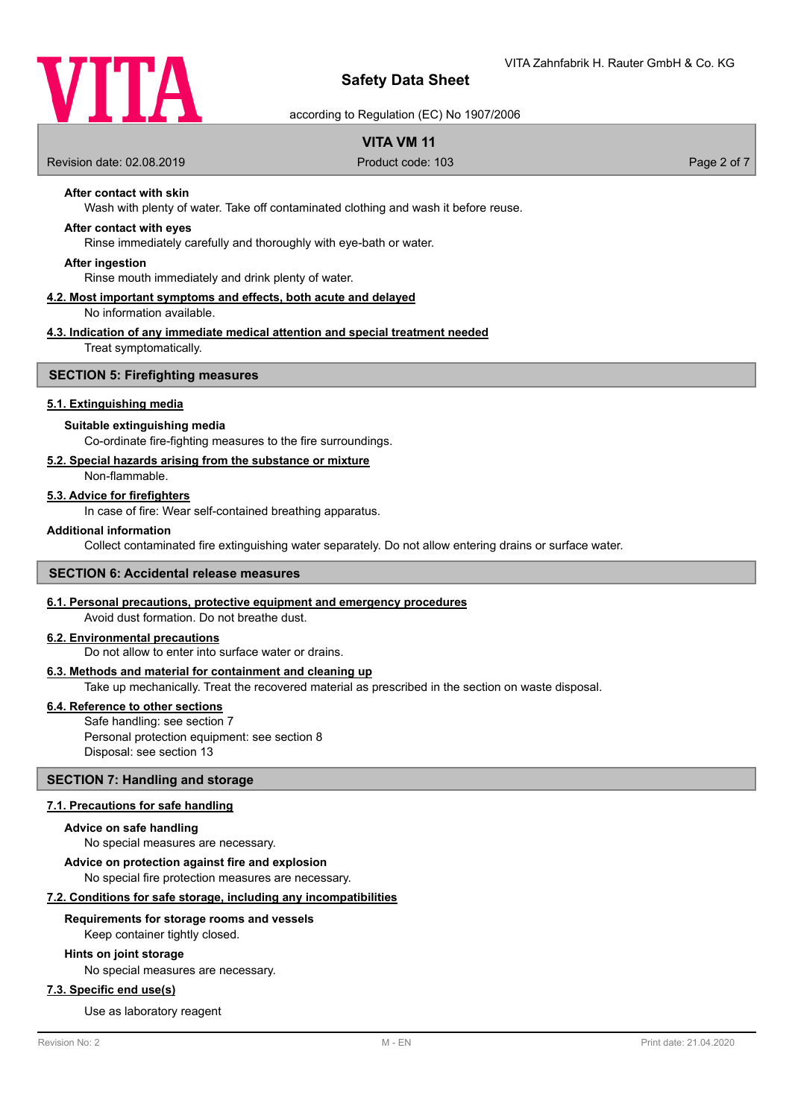

according to Regulation (EC) No 1907/2006

# **VITA VM 11**

Revision date: 02.08.2019 **Product code: 103** Product code: 103 **Page 2 of 7** Page 2 of 7

# **After contact with skin**

Wash with plenty of water. Take off contaminated clothing and wash it before reuse.

## **After contact with eyes**

Rinse immediately carefully and thoroughly with eye-bath or water.

#### **After ingestion**

Rinse mouth immediately and drink plenty of water.

# **4.2. Most important symptoms and effects, both acute and delayed**

No information available.

# **4.3. Indication of any immediate medical attention and special treatment needed**

Treat symptomatically.

# **SECTION 5: Firefighting measures**

## **5.1. Extinguishing media**

### **Suitable extinguishing media**

Co-ordinate fire-fighting measures to the fire surroundings.

#### **5.2. Special hazards arising from the substance or mixture**

Non-flammable.

## **5.3. Advice for firefighters**

In case of fire: Wear self-contained breathing apparatus.

#### **Additional information**

Collect contaminated fire extinguishing water separately. Do not allow entering drains or surface water.

# **SECTION 6: Accidental release measures**

#### **6.1. Personal precautions, protective equipment and emergency procedures**

Avoid dust formation. Do not breathe dust.

# **6.2. Environmental precautions**

Do not allow to enter into surface water or drains.

## **6.3. Methods and material for containment and cleaning up**

Take up mechanically. Treat the recovered material as prescribed in the section on waste disposal.

#### **6.4. Reference to other sections**

Safe handling: see section 7 Personal protection equipment: see section 8 Disposal: see section 13

# **SECTION 7: Handling and storage**

#### **7.1. Precautions for safe handling**

#### **Advice on safe handling**

No special measures are necessary.

#### **Advice on protection against fire and explosion**

No special fire protection measures are necessary.

#### **7.2. Conditions for safe storage, including any incompatibilities**

#### **Requirements for storage rooms and vessels**

Keep container tightly closed.

## **Hints on joint storage**

No special measures are necessary.

## **7.3. Specific end use(s)**

Use as laboratory reagent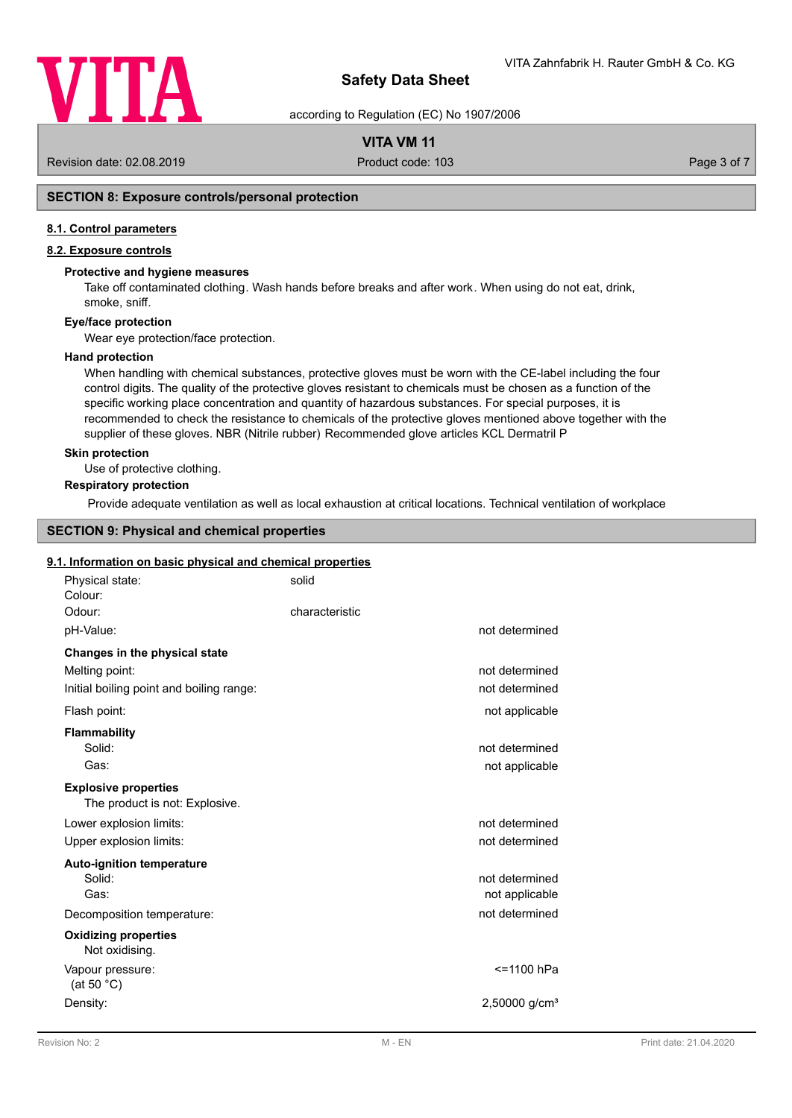

according to Regulation (EC) No 1907/2006

# **VITA VM 11**

Revision date: 02.08.2019 **Product code: 103** Product code: 103 **Page 3 of 7** Page 3 of 7

# **SECTION 8: Exposure controls/personal protection**

## **8.1. Control parameters**

# **8.2. Exposure controls**

#### **Protective and hygiene measures**

Take off contaminated clothing. Wash hands before breaks and after work. When using do not eat, drink, smoke, sniff.

# **Eye/face protection**

Wear eye protection/face protection.

#### **Hand protection**

When handling with chemical substances, protective gloves must be worn with the CE-label including the four control digits. The quality of the protective gloves resistant to chemicals must be chosen as a function of the specific working place concentration and quantity of hazardous substances. For special purposes, it is recommended to check the resistance to chemicals of the protective gloves mentioned above together with the supplier of these gloves. NBR (Nitrile rubber) Recommended glove articles KCL Dermatril P

## **Skin protection**

Use of protective clothing.

# **Respiratory protection**

Provide adequate ventilation as well as local exhaustion at critical locations. Technical ventilation of workplace

# **SECTION 9: Physical and chemical properties**

#### **9.1. Information on basic physical and chemical properties**

| Physical state:<br>Colour:                                    | solid          |                                  |
|---------------------------------------------------------------|----------------|----------------------------------|
| Odour:                                                        | characteristic |                                  |
| pH-Value:                                                     |                | not determined                   |
| Changes in the physical state                                 |                |                                  |
| Melting point:                                                |                | not determined                   |
| Initial boiling point and boiling range:                      |                | not determined                   |
| Flash point:                                                  |                | not applicable                   |
| <b>Flammability</b>                                           |                |                                  |
| Solid:                                                        |                | not determined                   |
| Gas:                                                          |                | not applicable                   |
| <b>Explosive properties</b><br>The product is not: Explosive. |                |                                  |
| Lower explosion limits:                                       |                | not determined                   |
| Upper explosion limits:                                       |                | not determined                   |
| <b>Auto-ignition temperature</b>                              |                |                                  |
| Solid:<br>Gas:                                                |                | not determined<br>not applicable |
| Decomposition temperature:                                    |                | not determined                   |
| <b>Oxidizing properties</b><br>Not oxidising.                 |                |                                  |
| Vapour pressure:<br>(at 50 $^{\circ}$ C)                      |                | <=1100 hPa                       |
| Density:                                                      |                | $2,50000$ g/cm <sup>3</sup>      |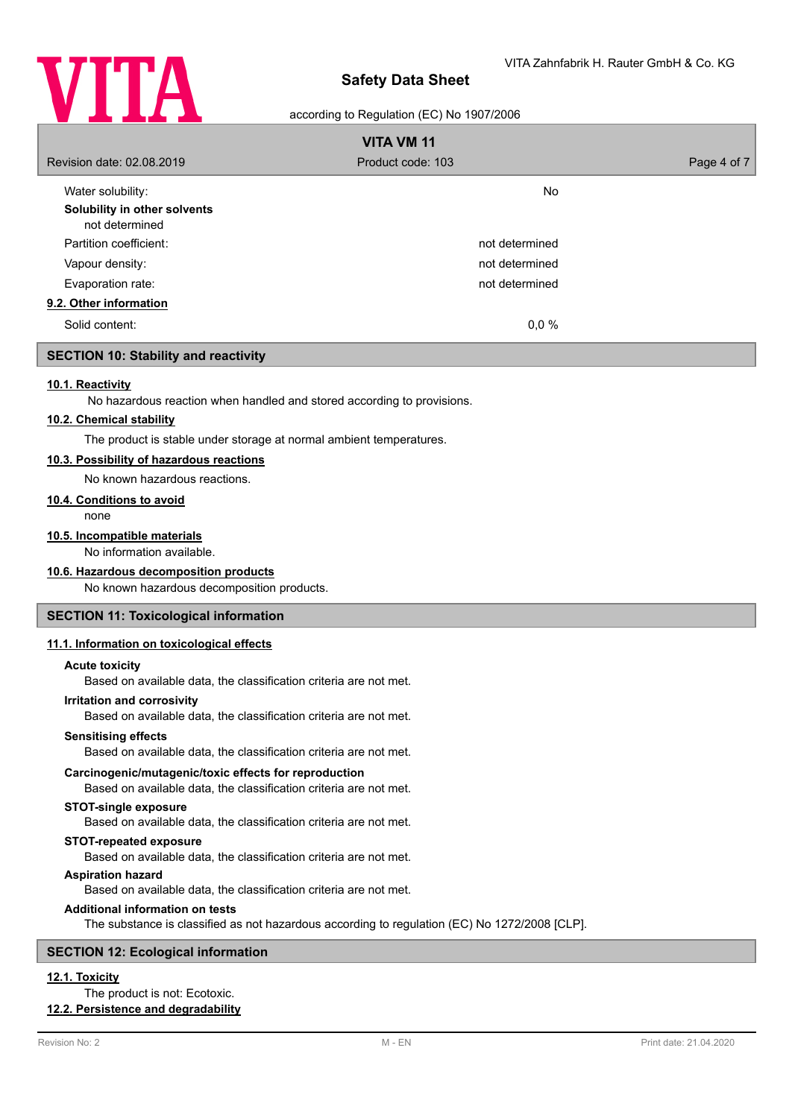

# according to Regulation (EC) No 1907/2006

| <b>VITA VM 11</b>                              |                   |             |
|------------------------------------------------|-------------------|-------------|
| Revision date: 02.08.2019                      | Product code: 103 | Page 4 of 7 |
| Water solubility:                              | <b>No</b>         |             |
| Solubility in other solvents<br>not determined |                   |             |
| Partition coefficient:                         | not determined    |             |
| Vapour density:                                | not determined    |             |
| Evaporation rate:                              | not determined    |             |
| 9.2. Other information                         |                   |             |
| Solid content:                                 | 0,0%              |             |

# **SECTION 10: Stability and reactivity**

#### **10.1. Reactivity**

No hazardous reaction when handled and stored according to provisions.

#### **10.2. Chemical stability**

The product is stable under storage at normal ambient temperatures.

#### **10.3. Possibility of hazardous reactions**

No known hazardous reactions.

#### **10.4. Conditions to avoid**

none

# **10.5. Incompatible materials**

No information available.

## **10.6. Hazardous decomposition products**

No known hazardous decomposition products.

# **SECTION 11: Toxicological information**

#### **11.1. Information on toxicological effects**

#### **Acute toxicity**

Based on available data, the classification criteria are not met.

#### **Irritation and corrosivity**

Based on available data, the classification criteria are not met.

#### **Sensitising effects**

Based on available data, the classification criteria are not met.

#### **Carcinogenic/mutagenic/toxic effects for reproduction**

Based on available data, the classification criteria are not met.

### **STOT-single exposure**

Based on available data, the classification criteria are not met.

#### **STOT-repeated exposure**

Based on available data, the classification criteria are not met.

#### **Aspiration hazard**

Based on available data, the classification criteria are not met.

#### **Additional information on tests**

The substance is classified as not hazardous according to regulation (EC) No 1272/2008 [CLP].

# **SECTION 12: Ecological information**

# **12.1. Toxicity**

# The product is not: Ecotoxic.

# **12.2. Persistence and degradability**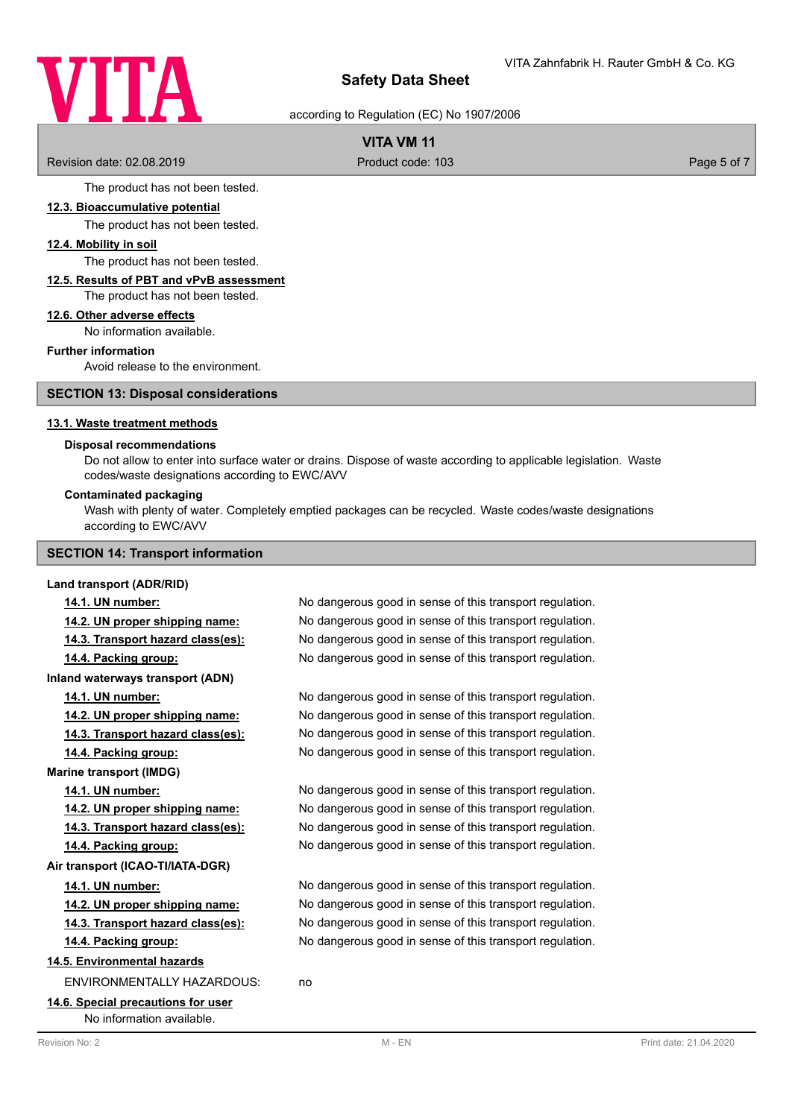# VITA

# **Safety Data Sheet**

# according to Regulation (EC) No 1907/2006

# **VITA VM 11**

Revision date: 02.08.2019 **Product code: 103** Product code: 103 **Page 5 of 7** Page 5 of 7

The product has not been tested.

#### **12.3. Bioaccumulative potential**

The product has not been tested.

#### **12.4. Mobility in soil**

The product has not been tested.

#### **12.5. Results of PBT and vPvB assessment** The product has not been tested.

## **12.6. Other adverse effects**

No information available.

#### **Further information**

Avoid release to the environment.

**SECTION 13: Disposal considerations**

# **13.1. Waste treatment methods**

#### **Disposal recommendations**

Do not allow to enter into surface water or drains. Dispose of waste according to applicable legislation. Waste codes/waste designations according to EWC/AVV

#### **Contaminated packaging**

Wash with plenty of water. Completely emptied packages can be recycled. Waste codes/waste designations according to EWC/AVV

# **SECTION 14: Transport information**

#### **Land transport (ADR/RID)**

# **14.1. UN number:** No dangerous good in sense of this transport regulation.

**14.2. UN proper shipping name:** No dangerous good in sense of this transport regulation. **14.3. Transport hazard class(es):** No dangerous good in sense of this transport regulation. **14.4. Packing group:** No dangerous good in sense of this transport regulation.

**Inland waterways transport (ADN)**

**14.1. UN number:** No dangerous good in sense of this transport regulation.

**14.2. UN proper shipping name:** No dangerous good in sense of this transport regulation.

**14.3. Transport hazard class(es):** No dangerous good in sense of this transport regulation.

**14.4. Packing group:** No dangerous good in sense of this transport regulation.

**Marine transport (IMDG)**

**14.1. UN number:** No dangerous good in sense of this transport regulation.

**14.2. UN proper shipping name:** No dangerous good in sense of this transport regulation.

**14.3. Transport hazard class(es):** No dangerous good in sense of this transport regulation.

**14.4. Packing group:** No dangerous good in sense of this transport regulation.

**Air transport (ICAO-TI/IATA-DGR)**

**14.1. UN number:** No dangerous good in sense of this transport regulation.

**14.2. UN proper shipping name:** No dangerous good in sense of this transport regulation. **14.3. Transport hazard class(es):** No dangerous good in sense of this transport regulation.

**14.4. Packing group:** No dangerous good in sense of this transport regulation.

**14.5. Environmental hazards**

ENVIRONMENTALLY HAZARDOUS: no

**14.6. Special precautions for user** No information available.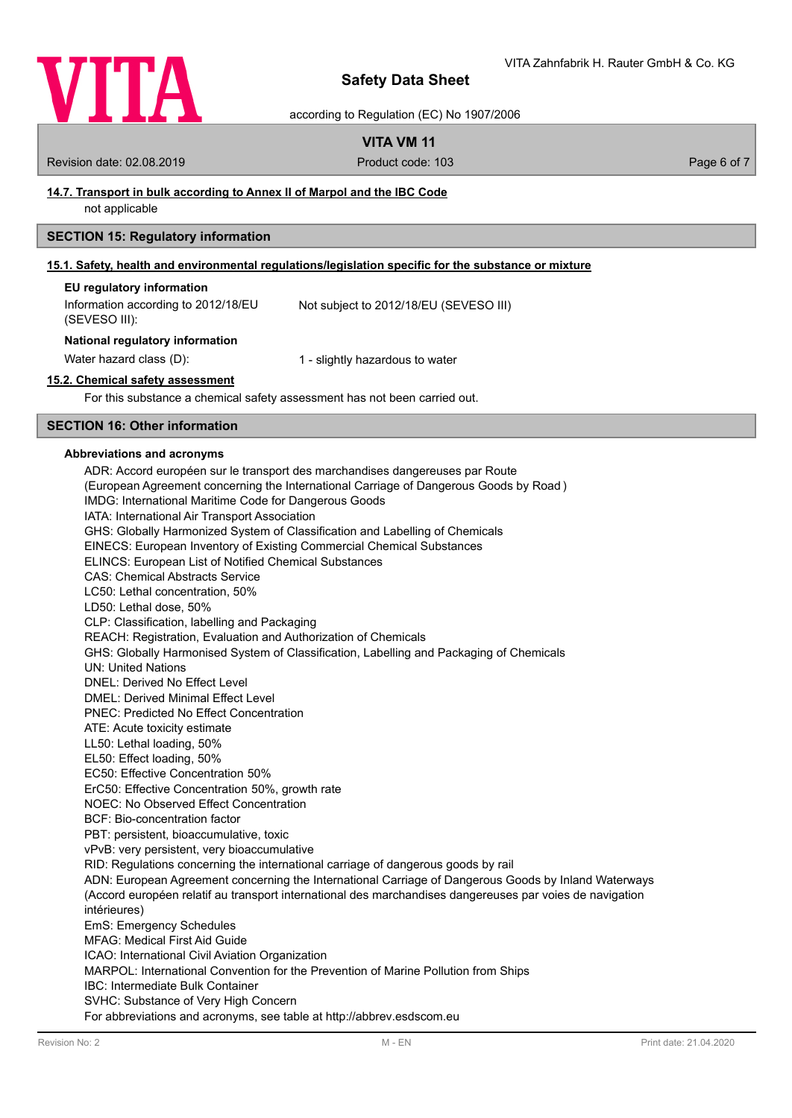

according to Regulation (EC) No 1907/2006

# **VITA VM 11**

Revision date: 02.08.2019 **Product code: 103** Product code: 103 **Page 6 of 7** Page 6 of 7

# **14.7. Transport in bulk according to Annex II of Marpol and the IBC Code**

not applicable

# **SECTION 15: Regulatory information**

# **15.1. Safety, health and environmental regulations/legislation specific for the substance or mixture**

| EU regulatory information                            |                                        |
|------------------------------------------------------|----------------------------------------|
| Information according to 2012/18/EU<br>(SEVESO III): | Not subject to 2012/18/EU (SEVESO III) |

#### **National regulatory information**

Water hazard class (D): 1 - slightly hazardous to water

## **15.2. Chemical safety assessment**

For this substance a chemical safety assessment has not been carried out.

# **SECTION 16: Other information**

#### **Abbreviations and acronyms**

ADR: Accord européen sur le transport des marchandises dangereuses par Route (European Agreement concerning the International Carriage of Dangerous Goods by Road ) IMDG: International Maritime Code for Dangerous Goods IATA: International Air Transport Association GHS: Globally Harmonized System of Classification and Labelling of Chemicals EINECS: European Inventory of Existing Commercial Chemical Substances ELINCS: European List of Notified Chemical Substances CAS: Chemical Abstracts Service LC50: Lethal concentration, 50% LD50: Lethal dose, 50% CLP: Classification, labelling and Packaging REACH: Registration, Evaluation and Authorization of Chemicals GHS: Globally Harmonised System of Classification, Labelling and Packaging of Chemicals UN: United Nations DNEL: Derived No Effect Level DMEL: Derived Minimal Effect Level PNEC: Predicted No Effect Concentration ATE: Acute toxicity estimate LL50: Lethal loading, 50% EL50: Effect loading, 50% EC50: Effective Concentration 50% ErC50: Effective Concentration 50%, growth rate NOEC: No Observed Effect Concentration BCF: Bio-concentration factor PBT: persistent, bioaccumulative, toxic vPvB: very persistent, very bioaccumulative RID: Regulations concerning the international carriage of dangerous goods by rail ADN: European Agreement concerning the International Carriage of Dangerous Goods by Inland Waterways (Accord européen relatif au transport international des marchandises dangereuses par voies de navigation intérieures) EmS: Emergency Schedules MFAG: Medical First Aid Guide ICAO: International Civil Aviation Organization MARPOL: International Convention for the Prevention of Marine Pollution from Ships IBC: Intermediate Bulk Container SVHC: Substance of Very High Concern For abbreviations and acronyms, see table at http://abbrev.esdscom.eu